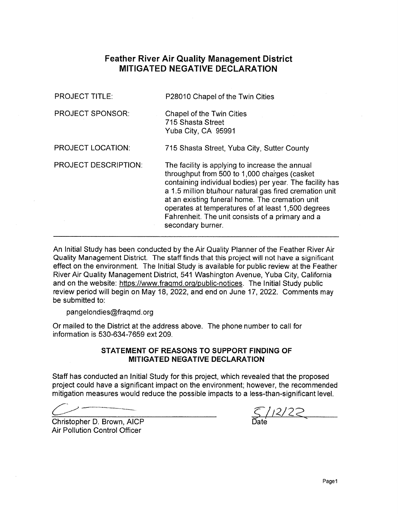# **Feather River Air Quality Management District MITIGATED NEGATIVE DECLARATION**

| <b>PROJECT TITLE:</b>       | P28010 Chapel of the Twin Cities                                                                                                                                                                                                                                                                                                                                                                         |
|-----------------------------|----------------------------------------------------------------------------------------------------------------------------------------------------------------------------------------------------------------------------------------------------------------------------------------------------------------------------------------------------------------------------------------------------------|
| <b>PROJECT SPONSOR:</b>     | Chapel of the Twin Cities<br>715 Shasta Street<br>Yuba City, CA 95991                                                                                                                                                                                                                                                                                                                                    |
| <b>PROJECT LOCATION:</b>    | 715 Shasta Street, Yuba City, Sutter County                                                                                                                                                                                                                                                                                                                                                              |
| <b>PROJECT DESCRIPTION:</b> | The facility is applying to increase the annual<br>throughput from 500 to 1,000 charges (casket<br>containing individual bodies) per year. The facility has<br>a 1.5 million btu/hour natural gas fired cremation unit<br>at an existing funeral home. The cremation unit<br>operates at temperatures of at least 1,500 degrees<br>Fahrenheit. The unit consists of a primary and a<br>secondary burner. |

An Initial Study has been conducted by the Air Quality Planner of the Feather River Air Quality Management District. The staff finds that this project will not have a significant effect on the environment. The Initial Study is available for public review at the Feather River Air Quality Management District, 541 Washington Avenue, Yuba City, California and on the website: https://www.fragmd.org/public-notices. The Initial Study public review period will begin on May 18, 2022, and end on June 17, 2022. Comments may be submitted to:

pangelondies@fragmd.org

Or mailed to the District at the address above. The phone number to call for information is 530-634-7659 ext 209.

#### STATEMENT OF REASONS TO SUPPORT FINDING OF **MITIGATED NEGATIVE DECLARATION**

Staff has conducted an Initial Study for this project, which revealed that the proposed project could have a significant impact on the environment; however, the recommended mitigation measures would reduce the possible impacts to a less-than-significant level.

 $5/12/22$ 

Christopher D. Brown, AICP **Air Pollution Control Officer**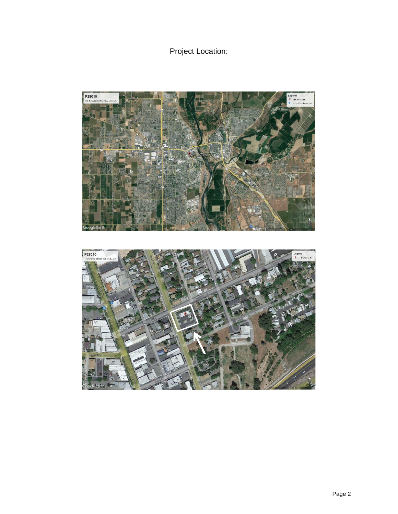Project Location:

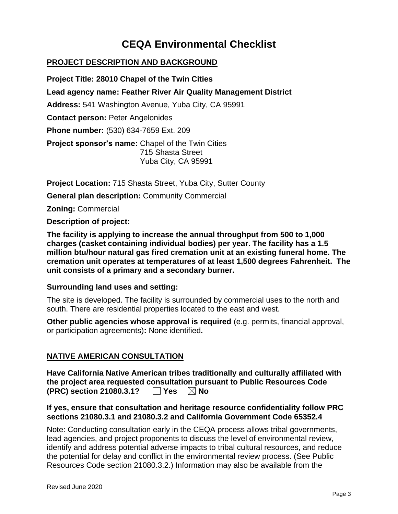# **CEQA Environmental Checklist**

## **PROJECT DESCRIPTION AND BACKGROUND**

**Project Title: 28010 Chapel of the Twin Cities Lead agency name: Feather River Air Quality Management District Address:** 541 Washington Avenue, Yuba City, CA 95991 **Contact person:** Peter Angelonides **Phone number:** (530) 634-7659 Ext. 209 **Project sponsor's name:** Chapel of the Twin Cities 715 Shasta Street Yuba City, CA 95991

**Project Location:** 715 Shasta Street, Yuba City, Sutter County **General plan description:** Community Commercial **Zoning:** Commercial **Description of project:**

**The facility is applying to increase the annual throughput from 500 to 1,000 charges (casket containing individual bodies) per year. The facility has a 1.5 million btu/hour natural gas fired cremation unit at an existing funeral home. The cremation unit operates at temperatures of at least 1,500 degrees Fahrenheit. The unit consists of a primary and a secondary burner.** 

#### **Surrounding land uses and setting:**

The site is developed. The facility is surrounded by commercial uses to the north and south. There are residential properties located to the east and west.

**Other public agencies whose approval is required** (e.g. permits, financial approval, or participation agreements)**:** None identified**.**

#### **NATIVE AMERICAN CONSULTATION**

|                          |                      | Have California Native American tribes traditionally and culturally affiliated with |
|--------------------------|----------------------|-------------------------------------------------------------------------------------|
|                          |                      | the project area requested consultation pursuant to Public Resources Code           |
| (PRC) section 21080.3.1? | $\Box$ Yes $\Box$ No |                                                                                     |

#### **If yes, ensure that consultation and heritage resource confidentiality follow PRC sections 21080.3.1 and 21080.3.2 and California Government Code 65352.4**

Note: Conducting consultation early in the CEQA process allows tribal governments, lead agencies, and project proponents to discuss the level of environmental review, identify and address potential adverse impacts to tribal cultural resources, and reduce the potential for delay and conflict in the environmental review process. (See Public Resources Code section 21080.3.2.) Information may also be available from the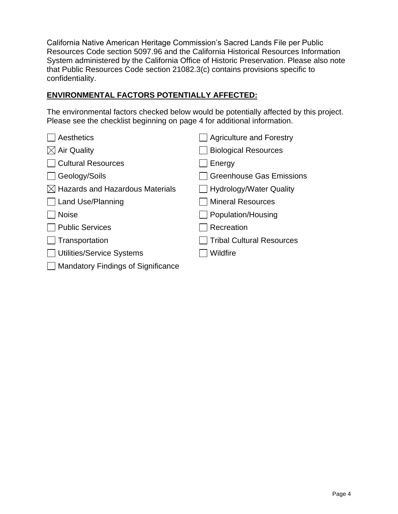California Native American Heritage Commission's Sacred Lands File per Public Resources Code section 5097.96 and the California Historical Resources Information System administered by the California Office of Historic Preservation. Please also note that Public Resources Code section 21082.3(c) contains provisions specific to confidentiality.

## **ENVIRONMENTAL FACTORS POTENTIALLY AFFECTED:**

The environmental factors checked below would be potentially affected by this project. Please see the checklist beginning on page 4 for additional information.

| Aesthetics                                  | <b>Agriculture and Forestry</b>  |
|---------------------------------------------|----------------------------------|
| <b>Air Quality</b>                          | <b>Biological Resources</b>      |
| <b>Cultural Resources</b>                   | Energy                           |
| Geology/Soils                               | Greenhouse Gas Emissions         |
| $\boxtimes$ Hazards and Hazardous Materials | ∐ Hydrology/Water Quality        |
| Land Use/Planning                           | <b>Mineral Resources</b>         |
| <b>Noise</b>                                | Population/Housing               |
| <b>Public Services</b>                      | Recreation                       |
| Transportation                              | <b>Tribal Cultural Resources</b> |
| <b>Utilities/Service Systems</b>            | Wildfire                         |
| <b>Mandatory Findings of Significance</b>   |                                  |
|                                             |                                  |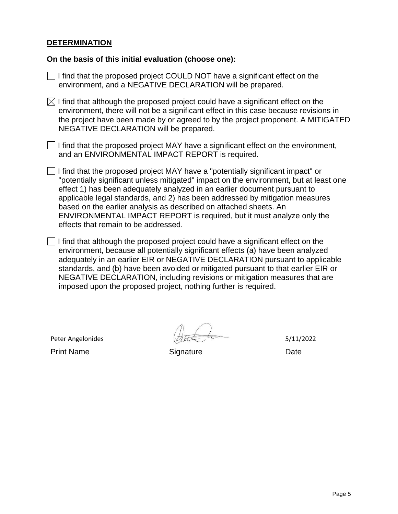#### **DETERMINATION**

#### **On the basis of this initial evaluation (choose one):**

| $\Box$ I find that the proposed project COULD NOT have a significant effect on the |
|------------------------------------------------------------------------------------|
| environment, and a NEGATIVE DECLARATION will be prepared.                          |

 $\boxtimes$  I find that although the proposed project could have a significant effect on the environment, there will not be a significant effect in this case because revisions in the project have been made by or agreed to by the project proponent. A MITIGATED NEGATIVE DECLARATION will be prepared.

 $\Box$  I find that the proposed project MAY have a significant effect on the environment, and an ENVIRONMENTAL IMPACT REPORT is required.

- $\Box$  I find that the proposed project MAY have a "potentially significant impact" or "potentially significant unless mitigated" impact on the environment, but at least one effect 1) has been adequately analyzed in an earlier document pursuant to applicable legal standards, and 2) has been addressed by mitigation measures based on the earlier analysis as described on attached sheets. An ENVIRONMENTAL IMPACT REPORT is required, but it must analyze only the effects that remain to be addressed.
- I I find that although the proposed project could have a significant effect on the environment, because all potentially significant effects (a) have been analyzed adequately in an earlier EIR or NEGATIVE DECLARATION pursuant to applicable standards, and (b) have been avoided or mitigated pursuant to that earlier EIR or NEGATIVE DECLARATION, including revisions or mitigation measures that are imposed upon the proposed project, nothing further is required.

Peter Angelonides 5/11/2022

Print Name **Signature** Signature **Date**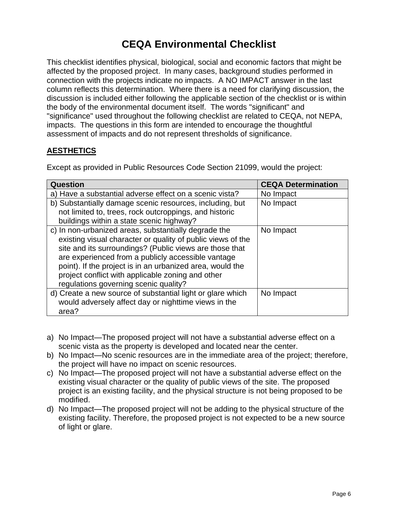# **CEQA Environmental Checklist**

This checklist identifies physical, biological, social and economic factors that might be affected by the proposed project. In many cases, background studies performed in connection with the projects indicate no impacts. A NO IMPACT answer in the last column reflects this determination. Where there is a need for clarifying discussion, the discussion is included either following the applicable section of the checklist or is within the body of the environmental document itself. The words "significant" and "significance" used throughout the following checklist are related to CEQA, not NEPA, impacts. The questions in this form are intended to encourage the thoughtful assessment of impacts and do not represent thresholds of significance.

## **AESTHETICS**

Except as provided in Public Resources Code Section 21099, would the project:

| <b>Question</b>                                             | <b>CEQA Determination</b> |
|-------------------------------------------------------------|---------------------------|
| a) Have a substantial adverse effect on a scenic vista?     | No Impact                 |
| b) Substantially damage scenic resources, including, but    | No Impact                 |
| not limited to, trees, rock outcroppings, and historic      |                           |
| buildings within a state scenic highway?                    |                           |
| c) In non-urbanized areas, substantially degrade the        | No Impact                 |
| existing visual character or quality of public views of the |                           |
| site and its surroundings? (Public views are those that     |                           |
| are experienced from a publicly accessible vantage          |                           |
| point). If the project is in an urbanized area, would the   |                           |
| project conflict with applicable zoning and other           |                           |
| regulations governing scenic quality?                       |                           |
| d) Create a new source of substantial light or glare which  | No Impact                 |
| would adversely affect day or nighttime views in the        |                           |
| area?                                                       |                           |

- a) No Impact—The proposed project will not have a substantial adverse effect on a scenic vista as the property is developed and located near the center.
- b) No Impact—No scenic resources are in the immediate area of the project; therefore, the project will have no impact on scenic resources.
- c) No Impact—The proposed project will not have a substantial adverse effect on the existing visual character or the quality of public views of the site. The proposed project is an existing facility, and the physical structure is not being proposed to be modified.
- d) No Impact—The proposed project will not be adding to the physical structure of the existing facility. Therefore, the proposed project is not expected to be a new source of light or glare.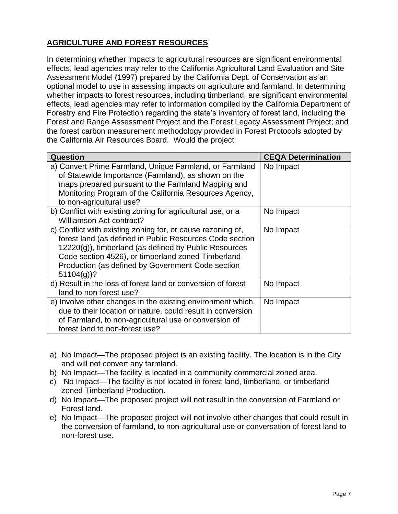# **AGRICULTURE AND FOREST RESOURCES**

In determining whether impacts to agricultural resources are significant environmental effects, lead agencies may refer to the California Agricultural Land Evaluation and Site Assessment Model (1997) prepared by the California Dept. of Conservation as an optional model to use in assessing impacts on agriculture and farmland. In determining whether impacts to forest resources, including timberland, are significant environmental effects, lead agencies may refer to information compiled by the California Department of Forestry and Fire Protection regarding the state's inventory of forest land, including the Forest and Range Assessment Project and the Forest Legacy Assessment Project; and the forest carbon measurement methodology provided in Forest Protocols adopted by the California Air Resources Board. Would the project:

| Question                                                                                                                                                                                                                                                                                                      | <b>CEQA Determination</b> |
|---------------------------------------------------------------------------------------------------------------------------------------------------------------------------------------------------------------------------------------------------------------------------------------------------------------|---------------------------|
| a) Convert Prime Farmland, Unique Farmland, or Farmland<br>of Statewide Importance (Farmland), as shown on the<br>maps prepared pursuant to the Farmland Mapping and<br>Monitoring Program of the California Resources Agency,<br>to non-agricultural use?                                                    | No Impact                 |
| b) Conflict with existing zoning for agricultural use, or a<br>Williamson Act contract?                                                                                                                                                                                                                       | No Impact                 |
| c) Conflict with existing zoning for, or cause rezoning of,<br>forest land (as defined in Public Resources Code section<br>$12220(g)$ , timberland (as defined by Public Resources<br>Code section 4526), or timberland zoned Timberland<br>Production (as defined by Government Code section<br>$51104(g)$ ? | No Impact                 |
| d) Result in the loss of forest land or conversion of forest<br>land to non-forest use?                                                                                                                                                                                                                       | No Impact                 |
| e) Involve other changes in the existing environment which,<br>due to their location or nature, could result in conversion<br>of Farmland, to non-agricultural use or conversion of<br>forest land to non-forest use?                                                                                         | No Impact                 |

- a) No Impact—The proposed project is an existing facility. The location is in the City and will not convert any farmland.
- b) No Impact—The facility is located in a community commercial zoned area.
- c) No Impact—The facility is not located in forest land, timberland, or timberland zoned Timberland Production.
- d) No Impact—The proposed project will not result in the conversion of Farmland or Forest land.
- e) No Impact—The proposed project will not involve other changes that could result in the conversion of farmland, to non-agricultural use or conversation of forest land to non-forest use.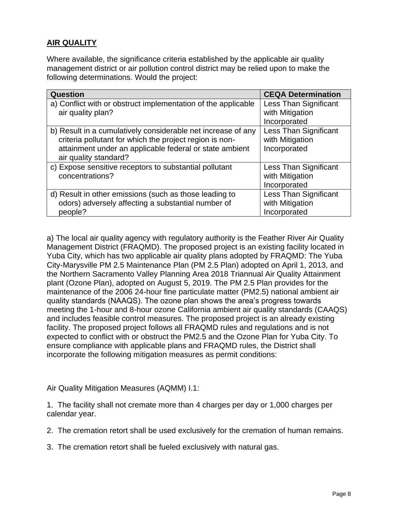## **AIR QUALITY**

Where available, the significance criteria established by the applicable air quality management district or air pollution control district may be relied upon to make the following determinations. Would the project:

| <b>Question</b>                                                                                                                                                                    | <b>CEQA Determination</b>                                       |
|------------------------------------------------------------------------------------------------------------------------------------------------------------------------------------|-----------------------------------------------------------------|
| a) Conflict with or obstruct implementation of the applicable<br>air quality plan?                                                                                                 | <b>Less Than Significant</b><br>with Mitigation                 |
|                                                                                                                                                                                    | Incorporated                                                    |
| b) Result in a cumulatively considerable net increase of any<br>criteria pollutant for which the project region is non-<br>attainment under an applicable federal or state ambient | <b>Less Than Significant</b><br>with Mitigation<br>Incorporated |
| air quality standard?                                                                                                                                                              |                                                                 |
| c) Expose sensitive receptors to substantial pollutant<br>concentrations?                                                                                                          | Less Than Significant<br>with Mitigation<br>Incorporated        |
| d) Result in other emissions (such as those leading to<br>odors) adversely affecting a substantial number of<br>people?                                                            | <b>Less Than Significant</b><br>with Mitigation<br>Incorporated |

a) The local air quality agency with regulatory authority is the Feather River Air Quality Management District (FRAQMD). The proposed project is an existing facility located in Yuba City, which has two applicable air quality plans adopted by FRAQMD: The Yuba City-Marysville PM 2.5 Maintenance Plan (PM 2.5 Plan) adopted on April 1, 2013, and the Northern Sacramento Valley Planning Area 2018 Triannual Air Quality Attainment plant (Ozone Plan), adopted on August 5, 2019. The PM 2.5 Plan provides for the maintenance of the 2006 24-hour fine particulate matter (PM2.5) national ambient air quality standards (NAAQS). The ozone plan shows the area's progress towards meeting the 1-hour and 8-hour ozone California ambient air quality standards (CAAQS) and includes feasible control measures. The proposed project is an already existing facility. The proposed project follows all FRAQMD rules and regulations and is not expected to conflict with or obstruct the PM2.5 and the Ozone Plan for Yuba City. To ensure compliance with applicable plans and FRAQMD rules, the District shall incorporate the following mitigation measures as permit conditions:

Air Quality Mitigation Measures (AQMM) I.1:

1. The facility shall not cremate more than 4 charges per day or 1,000 charges per calendar year.

2. The cremation retort shall be used exclusively for the cremation of human remains.

3. The cremation retort shall be fueled exclusively with natural gas.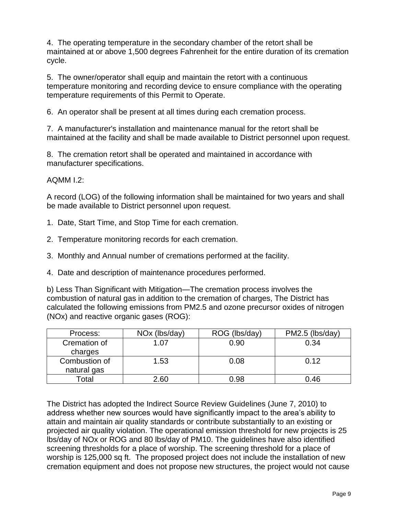4. The operating temperature in the secondary chamber of the retort shall be maintained at or above 1,500 degrees Fahrenheit for the entire duration of its cremation cycle.

5. The owner/operator shall equip and maintain the retort with a continuous temperature monitoring and recording device to ensure compliance with the operating temperature requirements of this Permit to Operate.

6. An operator shall be present at all times during each cremation process.

7. A manufacturer's installation and maintenance manual for the retort shall be maintained at the facility and shall be made available to District personnel upon request.

8. The cremation retort shall be operated and maintained in accordance with manufacturer specifications.

## AQMM I.2:

A record (LOG) of the following information shall be maintained for two years and shall be made available to District personnel upon request.

- 1. Date, Start Time, and Stop Time for each cremation.
- 2. Temperature monitoring records for each cremation.
- 3. Monthly and Annual number of cremations performed at the facility.
- 4. Date and description of maintenance procedures performed.

b) Less Than Significant with Mitigation—The cremation process involves the combustion of natural gas in addition to the cremation of charges, The District has calculated the following emissions from PM2.5 and ozone precursor oxides of nitrogen (NOx) and reactive organic gases (ROG):

| Process:      | NO <sub>x</sub> (lbs/day) | ROG (lbs/day) | PM2.5 (lbs/day) |
|---------------|---------------------------|---------------|-----------------|
| Cremation of  | 07. ا                     | 0.90          | 0.34            |
| charges       |                           |               |                 |
| Combustion of | 1.53                      | 0.08          | 0.12            |
| natural gas   |                           |               |                 |
| Гоtal         | 2.60                      | 0.98          | 0.46            |

The District has adopted the Indirect Source Review Guidelines (June 7, 2010) to address whether new sources would have significantly impact to the area's ability to attain and maintain air quality standards or contribute substantially to an existing or projected air quality violation. The operational emission threshold for new projects is 25 lbs/day of NOx or ROG and 80 lbs/day of PM10. The guidelines have also identified screening thresholds for a place of worship. The screening threshold for a place of worship is 125,000 sq ft. The proposed project does not include the installation of new cremation equipment and does not propose new structures, the project would not cause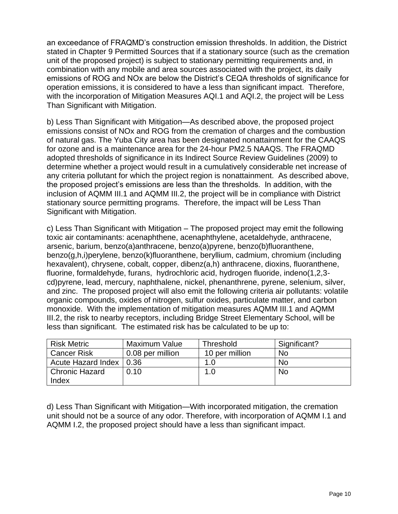an exceedance of FRAQMD's construction emission thresholds. In addition, the District stated in Chapter 9 Permitted Sources that if a stationary source (such as the cremation unit of the proposed project) is subject to stationary permitting requirements and, in combination with any mobile and area sources associated with the project, its daily emissions of ROG and NOx are below the District's CEQA thresholds of significance for operation emissions, it is considered to have a less than significant impact. Therefore, with the incorporation of Mitigation Measures AQI.1 and AQI.2, the project will be Less Than Significant with Mitigation.

b) Less Than Significant with Mitigation—As described above, the proposed project emissions consist of NOx and ROG from the cremation of charges and the combustion of natural gas. The Yuba City area has been designated nonattainment for the CAAQS for ozone and is a maintenance area for the 24-hour PM2.5 NAAQS. The FRAQMD adopted thresholds of significance in its Indirect Source Review Guidelines (2009) to determine whether a project would result in a cumulatively considerable net increase of any criteria pollutant for which the project region is nonattainment. As described above, the proposed project's emissions are less than the thresholds. In addition, with the inclusion of AQMM III.1 and AQMM III.2, the project will be in compliance with District stationary source permitting programs. Therefore, the impact will be Less Than Significant with Mitigation.

c) Less Than Significant with Mitigation – The proposed project may emit the following toxic air contaminants: acenaphthene, acenaphthylene, acetaldehyde, anthracene, arsenic, barium, benzo(a)anthracene, benzo(a)pyrene, benzo(b)fluoranthene, benzo(g,h,i)perylene, benzo(k)fluoranthene, beryllium, cadmium, chromium (including hexavalent), chrysene, cobalt, copper, dibenz(a,h) anthracene, dioxins, fluoranthene, fluorine, formaldehyde, furans, hydrochloric acid, hydrogen fluoride, indeno(1,2,3 cd)pyrene, lead, mercury, naphthalene, nickel, phenanthrene, pyrene, selenium, silver, and zinc. The proposed project will also emit the following criteria air pollutants: volatile organic compounds, oxides of nitrogen, sulfur oxides, particulate matter, and carbon monoxide. With the implementation of mitigation measures AQMM III.1 and AQMM III.2, the risk to nearby receptors, including Bridge Street Elementary School, will be less than significant. The estimated risk has be calculated to be up to:

| <b>Risk Metric</b>        | Maximum Value    | <b>Threshold</b> | Significant? |
|---------------------------|------------------|------------------|--------------|
| <b>Cancer Risk</b>        | 0.08 per million | 10 per million   | No           |
| Acute Hazard Index   0.36 |                  | 1.0              | No           |
| <b>Chronic Hazard</b>     | 0.10             | 1.0              | <b>No</b>    |
| Index                     |                  |                  |              |

d) Less Than Significant with Mitigation—With incorporated mitigation, the cremation unit should not be a source of any odor. Therefore, with incorporation of AQMM I.1 and AQMM I.2, the proposed project should have a less than significant impact.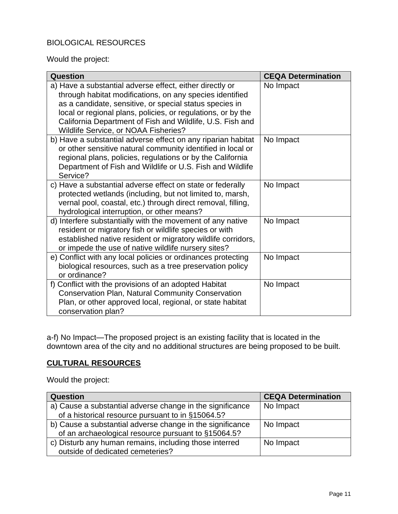# BIOLOGICAL RESOURCES

Would the project:

| Question                                                                                                                                                                                                                                                                                                                                             | <b>CEQA Determination</b> |
|------------------------------------------------------------------------------------------------------------------------------------------------------------------------------------------------------------------------------------------------------------------------------------------------------------------------------------------------------|---------------------------|
| a) Have a substantial adverse effect, either directly or<br>through habitat modifications, on any species identified<br>as a candidate, sensitive, or special status species in<br>local or regional plans, policies, or regulations, or by the<br>California Department of Fish and Wildlife, U.S. Fish and<br>Wildlife Service, or NOAA Fisheries? | No Impact                 |
| b) Have a substantial adverse effect on any riparian habitat<br>or other sensitive natural community identified in local or<br>regional plans, policies, regulations or by the California<br>Department of Fish and Wildlife or U.S. Fish and Wildlife<br>Service?                                                                                   | No Impact                 |
| c) Have a substantial adverse effect on state or federally<br>protected wetlands (including, but not limited to, marsh,<br>vernal pool, coastal, etc.) through direct removal, filling,<br>hydrological interruption, or other means?                                                                                                                | No Impact                 |
| d) Interfere substantially with the movement of any native<br>resident or migratory fish or wildlife species or with<br>established native resident or migratory wildlife corridors,<br>or impede the use of native wildlife nursery sites?                                                                                                          | No Impact                 |
| e) Conflict with any local policies or ordinances protecting<br>biological resources, such as a tree preservation policy<br>or ordinance?                                                                                                                                                                                                            | No Impact                 |
| f) Conflict with the provisions of an adopted Habitat<br><b>Conservation Plan, Natural Community Conservation</b><br>Plan, or other approved local, regional, or state habitat<br>conservation plan?                                                                                                                                                 | No Impact                 |

a-f) No Impact—The proposed project is an existing facility that is located in the downtown area of the city and no additional structures are being proposed to be built.

## **CULTURAL RESOURCES**

Would the project:

| <b>Question</b>                                                                                                  | <b>CEQA Determination</b> |
|------------------------------------------------------------------------------------------------------------------|---------------------------|
| a) Cause a substantial adverse change in the significance<br>of a historical resource pursuant to in §15064.5?   | No Impact                 |
| b) Cause a substantial adverse change in the significance<br>of an archaeological resource pursuant to §15064.5? | No Impact                 |
| c) Disturb any human remains, including those interred<br>outside of dedicated cemeteries?                       | No Impact                 |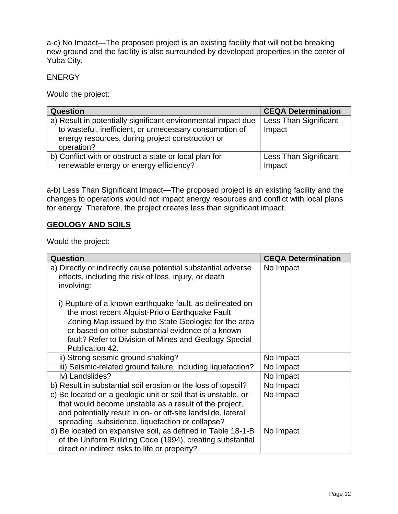a-c) No Impact—The proposed project is an existing facility that will not be breaking new ground and the facility is also surrounded by developed properties in the center of Yuba City.

#### **ENERGY**

Would the project:

| <b>Question</b>                                               | <b>CEQA Determination</b>    |
|---------------------------------------------------------------|------------------------------|
| a) Result in potentially significant environmental impact due | <b>Less Than Significant</b> |
| to wasteful, inefficient, or unnecessary consumption of       | Impact                       |
| energy resources, during project construction or              |                              |
| operation?                                                    |                              |
| b) Conflict with or obstruct a state or local plan for        | <b>Less Than Significant</b> |
| renewable energy or energy efficiency?                        | Impact                       |

a-b) Less Than Significant Impact—The proposed project is an existing facility and the changes to operations would not impact energy resources and conflict with local plans for energy. Therefore, the project creates less than significant impact.

#### **GEOLOGY AND SOILS**

Would the project:

| Question                                                                                                                                                                                                                                                                                              | <b>CEQA Determination</b> |
|-------------------------------------------------------------------------------------------------------------------------------------------------------------------------------------------------------------------------------------------------------------------------------------------------------|---------------------------|
| a) Directly or indirectly cause potential substantial adverse<br>effects, including the risk of loss, injury, or death<br>involving:                                                                                                                                                                  | No Impact                 |
| i) Rupture of a known earthquake fault, as delineated on<br>the most recent Alquist-Priolo Earthquake Fault<br>Zoning Map issued by the State Geologist for the area<br>or based on other substantial evidence of a known<br>fault? Refer to Division of Mines and Geology Special<br>Publication 42. |                           |
| ii) Strong seismic ground shaking?                                                                                                                                                                                                                                                                    | No Impact                 |
| iii) Seismic-related ground failure, including liquefaction?                                                                                                                                                                                                                                          | No Impact                 |
| iv) Landslides?                                                                                                                                                                                                                                                                                       | No Impact                 |
| b) Result in substantial soil erosion or the loss of topsoil?                                                                                                                                                                                                                                         | No Impact                 |
| c) Be located on a geologic unit or soil that is unstable, or<br>that would become unstable as a result of the project,<br>and potentially result in on- or off-site landslide, lateral<br>spreading, subsidence, liquefaction or collapse?                                                           | No Impact                 |
| d) Be located on expansive soil, as defined in Table 18-1-B<br>of the Uniform Building Code (1994), creating substantial<br>direct or indirect risks to life or property?                                                                                                                             | No Impact                 |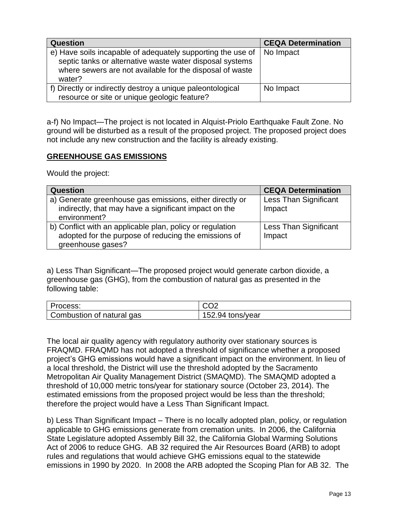| <b>Question</b>                                                                                                                                                                               | <b>CEQA Determination</b> |
|-----------------------------------------------------------------------------------------------------------------------------------------------------------------------------------------------|---------------------------|
| e) Have soils incapable of adequately supporting the use of<br>septic tanks or alternative waste water disposal systems<br>where sewers are not available for the disposal of waste<br>water? | No Impact                 |
| f) Directly or indirectly destroy a unique paleontological<br>resource or site or unique geologic feature?                                                                                    | No Impact                 |

a-f) No Impact—The project is not located in Alquist-Priolo Earthquake Fault Zone. No ground will be disturbed as a result of the proposed project. The proposed project does not include any new construction and the facility is already existing.

#### **GREENHOUSE GAS EMISSIONS**

Would the project:

| <b>Question</b>                                           | <b>CEQA Determination</b>    |
|-----------------------------------------------------------|------------------------------|
| a) Generate greenhouse gas emissions, either directly or  | <b>Less Than Significant</b> |
| indirectly, that may have a significant impact on the     | Impact                       |
| environment?                                              |                              |
| b) Conflict with an applicable plan, policy or regulation | <b>Less Than Significant</b> |
| adopted for the purpose of reducing the emissions of      | Impact                       |
| greenhouse gases?                                         |                              |

a) Less Than Significant—The proposed project would generate carbon dioxide, a greenhouse gas (GHG), from the combustion of natural gas as presented in the following table:

| Process:                  | CO <sub>2</sub>  |
|---------------------------|------------------|
| Combustion of natural gas | 152.94 tons/year |

The local air quality agency with regulatory authority over stationary sources is FRAQMD. FRAQMD has not adopted a threshold of significance whether a proposed project's GHG emissions would have a significant impact on the environment. In lieu of a local threshold, the District will use the threshold adopted by the Sacramento Metropolitan Air Quality Management District (SMAQMD). The SMAQMD adopted a threshold of 10,000 metric tons/year for stationary source (October 23, 2014). The estimated emissions from the proposed project would be less than the threshold; therefore the project would have a Less Than Significant Impact.

b) Less Than Significant Impact – There is no locally adopted plan, policy, or regulation applicable to GHG emissions generate from cremation units. In 2006, the California State Legislature adopted Assembly Bill 32, the California Global Warming Solutions Act of 2006 to reduce GHG. AB 32 required the Air Resources Board (ARB) to adopt rules and regulations that would achieve GHG emissions equal to the statewide emissions in 1990 by 2020. In 2008 the ARB adopted the Scoping Plan for AB 32. The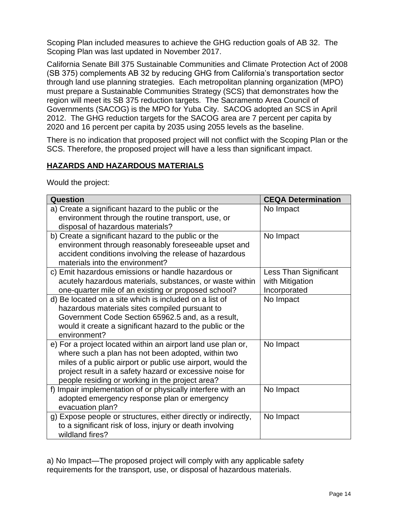Scoping Plan included measures to achieve the GHG reduction goals of AB 32. The Scoping Plan was last updated in November 2017.

California Senate Bill 375 Sustainable Communities and Climate Protection Act of 2008 (SB 375) complements AB 32 by reducing GHG from California's transportation sector through land use planning strategies. Each metropolitan planning organization (MPO) must prepare a Sustainable Communities Strategy (SCS) that demonstrates how the region will meet its SB 375 reduction targets. The Sacramento Area Council of Governments (SACOG) is the MPO for Yuba City. SACOG adopted an SCS in April 2012. The GHG reduction targets for the SACOG area are 7 percent per capita by 2020 and 16 percent per capita by 2035 using 2055 levels as the baseline.

There is no indication that proposed project will not conflict with the Scoping Plan or the SCS. Therefore, the proposed project will have a less than significant impact.

## **HAZARDS AND HAZARDOUS MATERIALS**

Would the project:

| Question                                                                                                                                                                                                                                                                                        | <b>CEQA Determination</b>                                |
|-------------------------------------------------------------------------------------------------------------------------------------------------------------------------------------------------------------------------------------------------------------------------------------------------|----------------------------------------------------------|
| a) Create a significant hazard to the public or the<br>environment through the routine transport, use, or<br>disposal of hazardous materials?                                                                                                                                                   | No Impact                                                |
| b) Create a significant hazard to the public or the<br>environment through reasonably foreseeable upset and<br>accident conditions involving the release of hazardous<br>materials into the environment?                                                                                        | No Impact                                                |
| c) Emit hazardous emissions or handle hazardous or<br>acutely hazardous materials, substances, or waste within<br>one-quarter mile of an existing or proposed school?                                                                                                                           | Less Than Significant<br>with Mitigation<br>Incorporated |
| d) Be located on a site which is included on a list of<br>hazardous materials sites compiled pursuant to<br>Government Code Section 65962.5 and, as a result,<br>would it create a significant hazard to the public or the<br>environment?                                                      | No Impact                                                |
| e) For a project located within an airport land use plan or,<br>where such a plan has not been adopted, within two<br>miles of a public airport or public use airport, would the<br>project result in a safety hazard or excessive noise for<br>people residing or working in the project area? | No Impact                                                |
| f) Impair implementation of or physically interfere with an<br>adopted emergency response plan or emergency<br>evacuation plan?                                                                                                                                                                 | No Impact                                                |
| g) Expose people or structures, either directly or indirectly,<br>to a significant risk of loss, injury or death involving<br>wildland fires?                                                                                                                                                   | No Impact                                                |

a) No Impact—The proposed project will comply with any applicable safety requirements for the transport, use, or disposal of hazardous materials.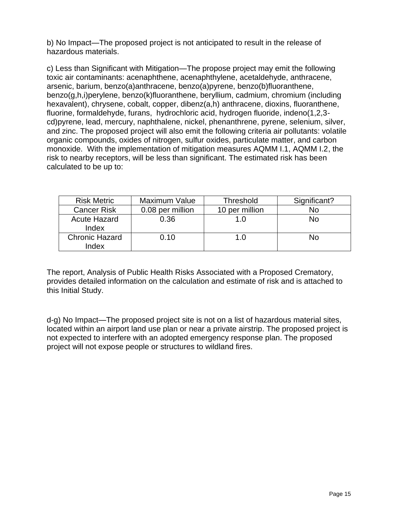b) No Impact—The proposed project is not anticipated to result in the release of hazardous materials.

c) Less than Significant with Mitigation—The propose project may emit the following toxic air contaminants: acenaphthene, acenaphthylene, acetaldehyde, anthracene, arsenic, barium, benzo(a)anthracene, benzo(a)pyrene, benzo(b)fluoranthene, benzo(g,h,i)perylene, benzo(k)fluoranthene, beryllium, cadmium, chromium (including hexavalent), chrysene, cobalt, copper, dibenz(a,h) anthracene, dioxins, fluoranthene, fluorine, formaldehyde, furans, hydrochloric acid, hydrogen fluoride, indeno(1,2,3 cd)pyrene, lead, mercury, naphthalene, nickel, phenanthrene, pyrene, selenium, silver, and zinc. The proposed project will also emit the following criteria air pollutants: volatile organic compounds, oxides of nitrogen, sulfur oxides, particulate matter, and carbon monoxide. With the implementation of mitigation measures AQMM I.1, AQMM I.2, the risk to nearby receptors, will be less than significant. The estimated risk has been calculated to be up to:

| <b>Risk Metric</b>             | <b>Maximum Value</b> | <b>Threshold</b> | Significant? |
|--------------------------------|----------------------|------------------|--------------|
| <b>Cancer Risk</b>             | 0.08 per million     | 10 per million   | No           |
| <b>Acute Hazard</b><br>Index   | 0.36                 | 1.0              | Nο           |
| <b>Chronic Hazard</b><br>Index | 0.10                 | 1. $\Omega$      | Nο           |

The report, Analysis of Public Health Risks Associated with a Proposed Crematory, provides detailed information on the calculation and estimate of risk and is attached to this Initial Study.

d-g) No Impact—The proposed project site is not on a list of hazardous material sites, located within an airport land use plan or near a private airstrip. The proposed project is not expected to interfere with an adopted emergency response plan. The proposed project will not expose people or structures to wildland fires.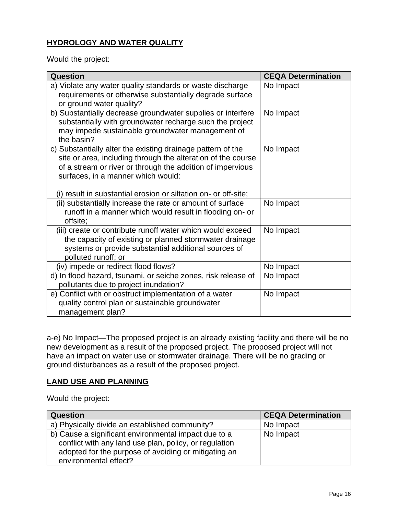# **HYDROLOGY AND WATER QUALITY**

Would the project:

| Question                                                                                                                                                                                                                                                                                           | <b>CEQA Determination</b> |
|----------------------------------------------------------------------------------------------------------------------------------------------------------------------------------------------------------------------------------------------------------------------------------------------------|---------------------------|
| a) Violate any water quality standards or waste discharge<br>requirements or otherwise substantially degrade surface<br>or ground water quality?                                                                                                                                                   | No Impact                 |
| b) Substantially decrease groundwater supplies or interfere<br>substantially with groundwater recharge such the project<br>may impede sustainable groundwater management of<br>the basin?                                                                                                          | No Impact                 |
| c) Substantially alter the existing drainage pattern of the<br>site or area, including through the alteration of the course<br>of a stream or river or through the addition of impervious<br>surfaces, in a manner which would:<br>(i) result in substantial erosion or siltation on- or off-site; | No Impact                 |
| (ii) substantially increase the rate or amount of surface<br>runoff in a manner which would result in flooding on- or<br>offsite;                                                                                                                                                                  | No Impact                 |
| (iii) create or contribute runoff water which would exceed<br>the capacity of existing or planned stormwater drainage<br>systems or provide substantial additional sources of<br>polluted runoff; or                                                                                               | No Impact                 |
| (iv) impede or redirect flood flows?                                                                                                                                                                                                                                                               | No Impact                 |
| d) In flood hazard, tsunami, or seiche zones, risk release of<br>pollutants due to project inundation?                                                                                                                                                                                             | No Impact                 |
| e) Conflict with or obstruct implementation of a water<br>quality control plan or sustainable groundwater<br>management plan?                                                                                                                                                                      | No Impact                 |

a-e) No Impact—The proposed project is an already existing facility and there will be no new development as a result of the proposed project. The proposed project will not have an impact on water use or stormwater drainage. There will be no grading or ground disturbances as a result of the proposed project.

#### **LAND USE AND PLANNING**

Would the project:

| <b>Question</b>                                                                                                                                                                                 | <b>CEQA Determination</b> |
|-------------------------------------------------------------------------------------------------------------------------------------------------------------------------------------------------|---------------------------|
| a) Physically divide an established community?                                                                                                                                                  | No Impact                 |
| b) Cause a significant environmental impact due to a<br>conflict with any land use plan, policy, or regulation<br>adopted for the purpose of avoiding or mitigating an<br>environmental effect? | No Impact                 |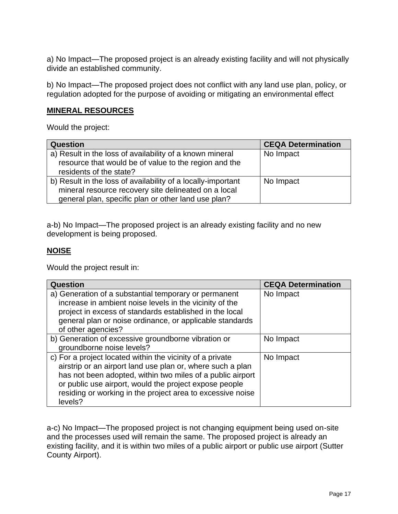a) No Impact—The proposed project is an already existing facility and will not physically divide an established community.

b) No Impact—The proposed project does not conflict with any land use plan, policy, or regulation adopted for the purpose of avoiding or mitigating an environmental effect

### **MINERAL RESOURCES**

Would the project:

| <b>Question</b>                                              | <b>CEQA Determination</b> |
|--------------------------------------------------------------|---------------------------|
| a) Result in the loss of availability of a known mineral     | No Impact                 |
| resource that would be of value to the region and the        |                           |
| residents of the state?                                      |                           |
| b) Result in the loss of availability of a locally-important | No Impact                 |
| mineral resource recovery site delineated on a local         |                           |
| general plan, specific plan or other land use plan?          |                           |

a-b) No Impact—The proposed project is an already existing facility and no new development is being proposed.

## **NOISE**

Would the project result in:

| <b>Question</b>                                                                                                                                                                                                                                                                                                          | <b>CEQA Determination</b> |
|--------------------------------------------------------------------------------------------------------------------------------------------------------------------------------------------------------------------------------------------------------------------------------------------------------------------------|---------------------------|
| a) Generation of a substantial temporary or permanent<br>increase in ambient noise levels in the vicinity of the<br>project in excess of standards established in the local<br>general plan or noise ordinance, or applicable standards<br>of other agencies?                                                            | No Impact                 |
| b) Generation of excessive groundborne vibration or<br>groundborne noise levels?                                                                                                                                                                                                                                         | No Impact                 |
| c) For a project located within the vicinity of a private<br>airstrip or an airport land use plan or, where such a plan<br>has not been adopted, within two miles of a public airport<br>or public use airport, would the project expose people<br>residing or working in the project area to excessive noise<br>levels? | No Impact                 |

a-c) No Impact—The proposed project is not changing equipment being used on-site and the processes used will remain the same. The proposed project is already an existing facility, and it is within two miles of a public airport or public use airport (Sutter County Airport).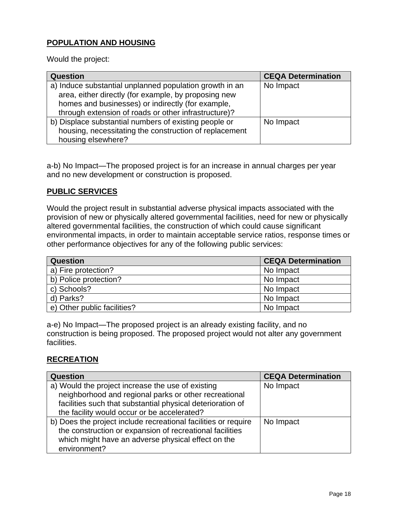## **POPULATION AND HOUSING**

Would the project:

| <b>Question</b>                                         | <b>CEQA Determination</b> |
|---------------------------------------------------------|---------------------------|
| a) Induce substantial unplanned population growth in an | No Impact                 |
| area, either directly (for example, by proposing new    |                           |
| homes and businesses) or indirectly (for example,       |                           |
| through extension of roads or other infrastructure)?    |                           |
| b) Displace substantial numbers of existing people or   | No Impact                 |
| housing, necessitating the construction of replacement  |                           |
| housing elsewhere?                                      |                           |

a-b) No Impact—The proposed project is for an increase in annual charges per year and no new development or construction is proposed.

#### **PUBLIC SERVICES**

Would the project result in substantial adverse physical impacts associated with the provision of new or physically altered governmental facilities, need for new or physically altered governmental facilities, the construction of which could cause significant environmental impacts, in order to maintain acceptable service ratios, response times or other performance objectives for any of the following public services:

| <b>Question</b>             | <b>CEQA Determination</b> |
|-----------------------------|---------------------------|
| a) Fire protection?         | No Impact                 |
| b) Police protection?       | No Impact                 |
| c) Schools?                 | No Impact                 |
| d) Parks?                   | No Impact                 |
| e) Other public facilities? | No Impact                 |

a-e) No Impact—The proposed project is an already existing facility, and no construction is being proposed. The proposed project would not alter any government facilities.

#### **RECREATION**

| <b>Question</b>                                                | <b>CEQA Determination</b> |
|----------------------------------------------------------------|---------------------------|
| a) Would the project increase the use of existing              | No Impact                 |
| neighborhood and regional parks or other recreational          |                           |
| facilities such that substantial physical deterioration of     |                           |
| the facility would occur or be accelerated?                    |                           |
| b) Does the project include recreational facilities or require | No Impact                 |
| the construction or expansion of recreational facilities       |                           |
| which might have an adverse physical effect on the             |                           |
| environment?                                                   |                           |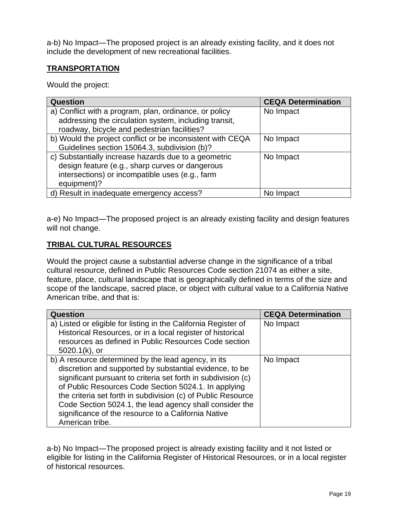a-b) No Impact—The proposed project is an already existing facility, and it does not include the development of new recreational facilities.

## **TRANSPORTATION**

Would the project:

| <b>Question</b>                                            | <b>CEQA Determination</b> |
|------------------------------------------------------------|---------------------------|
| a) Conflict with a program, plan, ordinance, or policy     | No Impact                 |
| addressing the circulation system, including transit,      |                           |
| roadway, bicycle and pedestrian facilities?                |                           |
| b) Would the project conflict or be inconsistent with CEQA | No Impact                 |
| Guidelines section 15064.3, subdivision (b)?               |                           |
| c) Substantially increase hazards due to a geometric       | No Impact                 |
| design feature (e.g., sharp curves or dangerous            |                           |
| intersections) or incompatible uses (e.g., farm            |                           |
| equipment)?                                                |                           |
| d) Result in inadequate emergency access?                  | No Impact                 |

a-e) No Impact—The proposed project is an already existing facility and design features will not change.

## **TRIBAL CULTURAL RESOURCES**

Would the project cause a substantial adverse change in the significance of a tribal cultural resource, defined in Public Resources Code section 21074 as either a site, feature, place, cultural landscape that is geographically defined in terms of the size and scope of the landscape, sacred place, or object with cultural value to a California Native American tribe, and that is:

| <b>Question</b>                                                 | <b>CEQA Determination</b> |
|-----------------------------------------------------------------|---------------------------|
| a) Listed or eligible for listing in the California Register of | No Impact                 |
| Historical Resources, or in a local register of historical      |                           |
| resources as defined in Public Resources Code section           |                           |
| $5020.1(k)$ , or                                                |                           |
| b) A resource determined by the lead agency, in its             | No Impact                 |
| discretion and supported by substantial evidence, to be         |                           |
| significant pursuant to criteria set forth in subdivision (c)   |                           |
| of Public Resources Code Section 5024.1. In applying            |                           |
| the criteria set forth in subdivision (c) of Public Resource    |                           |
| Code Section 5024.1, the lead agency shall consider the         |                           |
| significance of the resource to a California Native             |                           |
| American tribe.                                                 |                           |

a-b) No Impact—The proposed project is already existing facility and it not listed or eligible for listing in the California Register of Historical Resources, or in a local register of historical resources.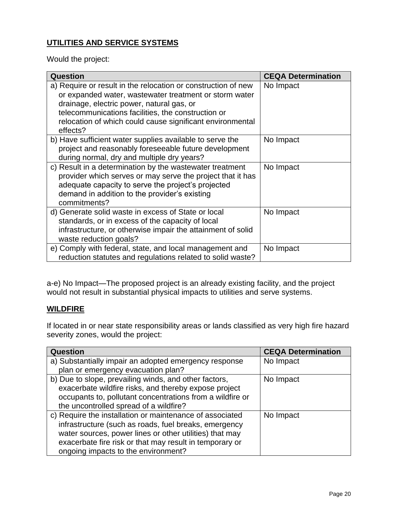# **UTILITIES AND SERVICE SYSTEMS**

Would the project:

| Question                                                                                                                                                                                                                                                                                            | <b>CEQA Determination</b> |
|-----------------------------------------------------------------------------------------------------------------------------------------------------------------------------------------------------------------------------------------------------------------------------------------------------|---------------------------|
| a) Require or result in the relocation or construction of new<br>or expanded water, wastewater treatment or storm water<br>drainage, electric power, natural gas, or<br>telecommunications facilities, the construction or<br>relocation of which could cause significant environmental<br>effects? | No Impact                 |
| b) Have sufficient water supplies available to serve the<br>project and reasonably foreseeable future development<br>during normal, dry and multiple dry years?                                                                                                                                     | No Impact                 |
| c) Result in a determination by the wastewater treatment<br>provider which serves or may serve the project that it has<br>adequate capacity to serve the project's projected<br>demand in addition to the provider's existing<br>commitments?                                                       | No Impact                 |
| d) Generate solid waste in excess of State or local<br>standards, or in excess of the capacity of local<br>infrastructure, or otherwise impair the attainment of solid<br>waste reduction goals?                                                                                                    | No Impact                 |
| e) Comply with federal, state, and local management and<br>reduction statutes and regulations related to solid waste?                                                                                                                                                                               | No Impact                 |

a-e) No Impact—The proposed project is an already existing facility, and the project would not result in substantial physical impacts to utilities and serve systems.

#### **WILDFIRE**

If located in or near state responsibility areas or lands classified as very high fire hazard severity zones, would the project:

| <b>Question</b>                                           | <b>CEQA Determination</b> |
|-----------------------------------------------------------|---------------------------|
| a) Substantially impair an adopted emergency response     | No Impact                 |
| plan or emergency evacuation plan?                        |                           |
| b) Due to slope, prevailing winds, and other factors,     | No Impact                 |
| exacerbate wildfire risks, and thereby expose project     |                           |
| occupants to, pollutant concentrations from a wildfire or |                           |
| the uncontrolled spread of a wildfire?                    |                           |
| c) Require the installation or maintenance of associated  | No Impact                 |
| infrastructure (such as roads, fuel breaks, emergency     |                           |
| water sources, power lines or other utilities) that may   |                           |
| exacerbate fire risk or that may result in temporary or   |                           |
| ongoing impacts to the environment?                       |                           |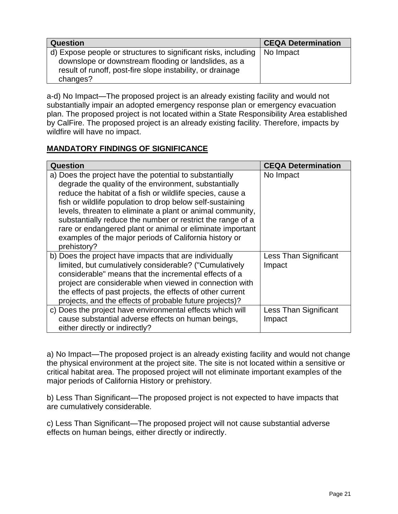| <b>Question</b>                                                                                                                    | <b>CEQA Determination</b> |
|------------------------------------------------------------------------------------------------------------------------------------|---------------------------|
| d) Expose people or structures to significant risks, including   No Impact<br>downslope or downstream flooding or landslides, as a |                           |
| result of runoff, post-fire slope instability, or drainage<br>changes?                                                             |                           |

a-d) No Impact—The proposed project is an already existing facility and would not substantially impair an adopted emergency response plan or emergency evacuation plan. The proposed project is not located within a State Responsibility Area established by CalFire. The proposed project is an already existing facility. Therefore, impacts by wildfire will have no impact.

## **MANDATORY FINDINGS OF SIGNIFICANCE**

| Question                                                                                                                                                                                                                                                                                                                                                                                                                                                                                                     | <b>CEQA Determination</b>       |
|--------------------------------------------------------------------------------------------------------------------------------------------------------------------------------------------------------------------------------------------------------------------------------------------------------------------------------------------------------------------------------------------------------------------------------------------------------------------------------------------------------------|---------------------------------|
| a) Does the project have the potential to substantially<br>degrade the quality of the environment, substantially<br>reduce the habitat of a fish or wildlife species, cause a<br>fish or wildlife population to drop below self-sustaining<br>levels, threaten to eliminate a plant or animal community,<br>substantially reduce the number or restrict the range of a<br>rare or endangered plant or animal or eliminate important<br>examples of the major periods of California history or<br>prehistory? | No Impact                       |
| b) Does the project have impacts that are individually<br>limited, but cumulatively considerable? ("Cumulatively<br>considerable" means that the incremental effects of a<br>project are considerable when viewed in connection with<br>the effects of past projects, the effects of other current<br>projects, and the effects of probable future projects)?                                                                                                                                                | Less Than Significant<br>Impact |
| c) Does the project have environmental effects which will<br>cause substantial adverse effects on human beings,<br>either directly or indirectly?                                                                                                                                                                                                                                                                                                                                                            | Less Than Significant<br>Impact |

a) No Impact—The proposed project is an already existing facility and would not change the physical environment at the project site. The site is not located within a sensitive or critical habitat area. The proposed project will not eliminate important examples of the major periods of California History or prehistory.

b) Less Than Significant—The proposed project is not expected to have impacts that are cumulatively considerable.

c) Less Than Significant—The proposed project will not cause substantial adverse effects on human beings, either directly or indirectly.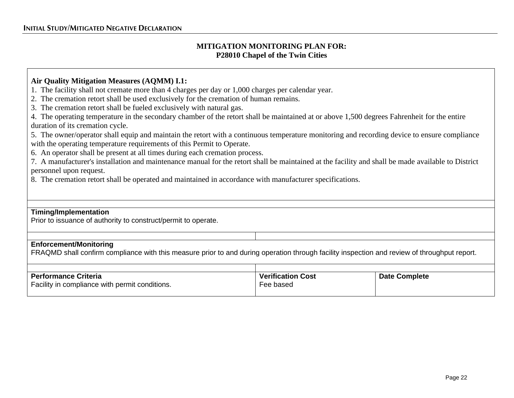#### **MITIGATION MONITORING PLAN FOR: P28010 Chapel of the Twin Cities**

#### **Air Quality Mitigation Measures (AQMM) I.1:**

- 1. The facility shall not cremate more than 4 charges per day or 1,000 charges per calendar year.
- 2. The cremation retort shall be used exclusively for the cremation of human remains.
- 3. The cremation retort shall be fueled exclusively with natural gas.
- 4. The operating temperature in the secondary chamber of the retort shall be maintained at or above 1,500 degrees Fahrenheit for the entire duration of its cremation cycle.
- 5. The owner/operator shall equip and maintain the retort with a continuous temperature monitoring and recording device to ensure compliance with the operating temperature requirements of this Permit to Operate.
- 6. An operator shall be present at all times during each cremation process.
- 7. A manufacturer's installation and maintenance manual for the retort shall be maintained at the facility and shall be made available to District personnel upon request.
- 8. The cremation retort shall be operated and maintained in accordance with manufacturer specifications.

#### **Timing/Implementation**

Prior to issuance of authority to construct/permit to operate.

#### **Enforcement/Monitoring**

FRAQMD shall confirm compliance with this measure prior to and during operation through facility inspection and review of throughput report.

| <b>Verification Cost</b> | <b>Date Complete</b> |
|--------------------------|----------------------|
| Fee based                |                      |
|                          |                      |